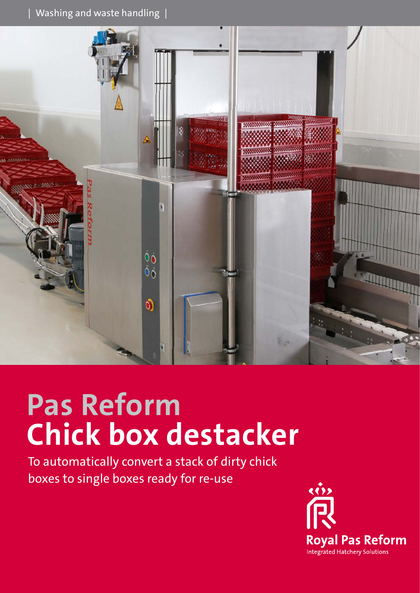$|$  Washing and waste handling  $|$ 



# **Pas Reform Chick box destacker**

To automatically convert a stack of dirty chick boxes to single boxes ready for re-use